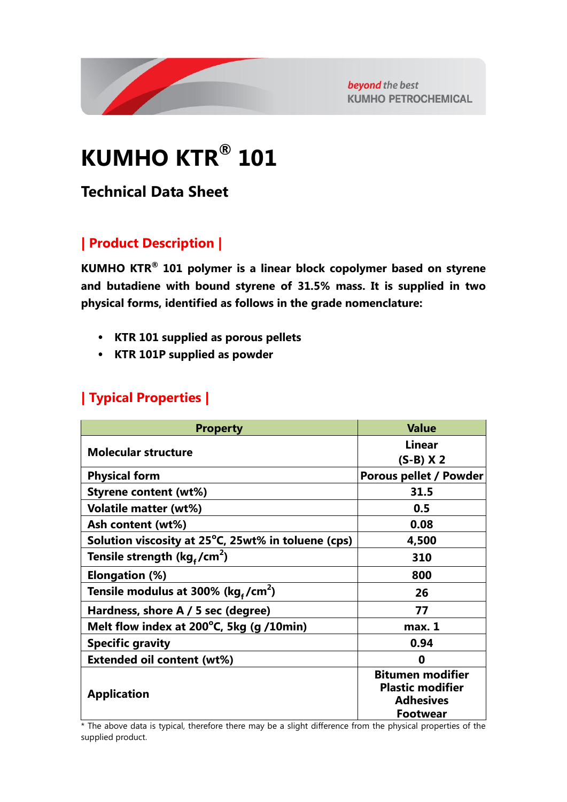

beyond the best **KUMHO PETROCHEMICAL** 

# **KUMHO KTR® 101**

**Technical Data Sheet**

## **| Product Description |**

**KUMHO KTR® 101 polymer is a linear block copolymer based on styrene and butadiene with bound styrene of 31.5% mass. It is supplied in two physical forms, identified as follows in the grade nomenclature:**

- **KTR 101 supplied as porous pellets**
- **KTR 101P supplied as powder**

## **| Typical Properties |**

| <b>Property</b>                                              | <b>Value</b>                                                                              |
|--------------------------------------------------------------|-------------------------------------------------------------------------------------------|
| <b>Molecular structure</b>                                   | <b>Linear</b>                                                                             |
|                                                              | $(S-B)$ X 2                                                                               |
| <b>Physical form</b>                                         | Porous pellet / Powder                                                                    |
| <b>Styrene content (wt%)</b>                                 | 31.5                                                                                      |
| <b>Volatile matter (wt%)</b>                                 | 0.5                                                                                       |
| Ash content (wt%)                                            | 0.08                                                                                      |
| Solution viscosity at $25^{\circ}$ C, 25wt% in toluene (cps) | 4,500                                                                                     |
| Tensile strength ( $kg_f/cm^2$ )                             | 310                                                                                       |
| <b>Elongation (%)</b>                                        | 800                                                                                       |
| Tensile modulus at 300% (kg,/cm <sup>2</sup> )               | 26                                                                                        |
| Hardness, shore A / 5 sec (degree)                           | 77                                                                                        |
| Melt flow index at 200°C, 5kg (g /10min)                     | max. 1                                                                                    |
| <b>Specific gravity</b>                                      | 0.94                                                                                      |
| <b>Extended oil content (wt%)</b>                            | 0                                                                                         |
| <b>Application</b>                                           | <b>Bitumen modifier</b><br><b>Plastic modifier</b><br><b>Adhesives</b><br><b>Footwear</b> |

\* The above data is typical, therefore there may be a slight difference from the physical properties of the supplied product.